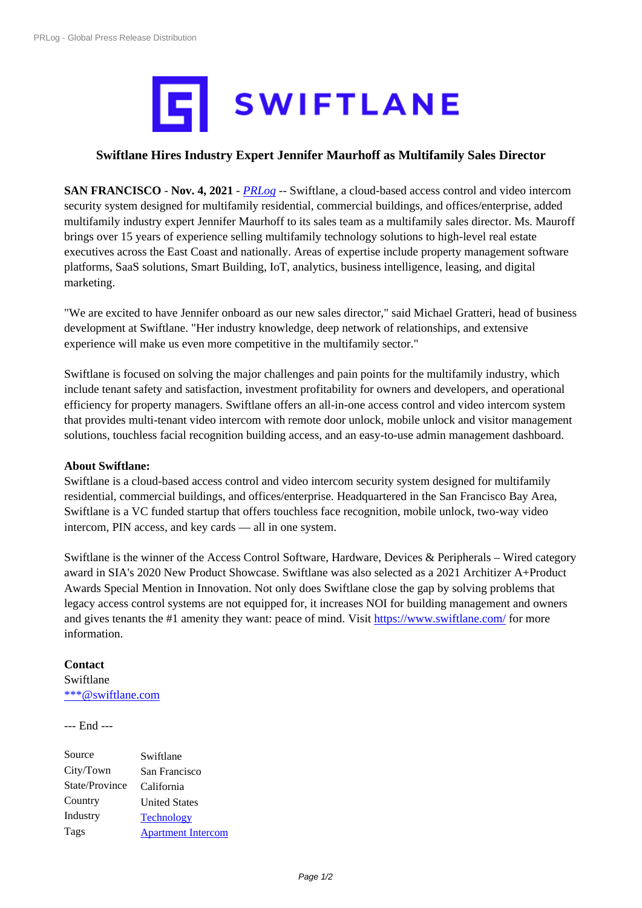

## **Swiftlane [Hires Industry Expert Jennifer Maurhoff as Multifamily](https://biz.prlog.org/Swiftlane/) Sales Director**

**SAN FRANCISCO** - **Nov. 4, 2021** - *PRLog* -- Swiftlane, a cloud-based access control and video intercom security system designed for multifamily residential, commercial buildings, and offices/enterprise, added multifamily industry expert Jennifer Maurhoff to its sales team as a multifamily sales director. Ms. Mauroff brings over 15 years of experience selling multifamily technology solutions to high-level real estate executives across the East Coast and [national](https://www.prlog.org)ly. Areas of expertise include property management software platforms, SaaS solutions, Smart Building, IoT, analytics, business intelligence, leasing, and digital marketing.

"We are excited to have Jennifer onboard as our new sales director," said Michael Gratteri, head of business development at Swiftlane. "Her industry knowledge, deep network of relationships, and extensive experience will make us even more competitive in the multifamily sector."

Swiftlane is focused on solving the major challenges and pain points for the multifamily industry, which include tenant safety and satisfaction, investment profitability for owners and developers, and operational efficiency for property managers. Swiftlane offers an all-in-one access control and video intercom system that provides multi-tenant video intercom with remote door unlock, mobile unlock and visitor management solutions, touchless facial recognition building access, and an easy-to-use admin management dashboard.

## **About Swiftlane:**

Swiftlane is a cloud-based access control and video intercom security system designed for multifamily residential, commercial buildings, and offices/enterprise. Headquartered in the San Francisco Bay Area, Swiftlane is a VC funded startup that offers touchless face recognition, mobile unlock, two-way video intercom, PIN access, and key cards — all in one system.

Swiftlane is the winner of the Access Control Software, Hardware, Devices & Peripherals – Wired category award in SIA's 2020 New Product Showcase. Swiftlane was also selected as a 2021 Architizer A+Product Awards Special Mention in Innovation. Not only does Swiftlane close the gap by solving problems that legacy access control systems are not equipped for, it increases NOI for building management and owners and gives tenants the #1 amenity they want: peace of mind. Visit https://www.swiftlane.com/ for more information.

## **Contact**

Swiftlane \*\*\*@swiftlane.com

## --- End ---

| Source         | Swiftlane                 |
|----------------|---------------------------|
| City/Town      | San Francisco             |
| State/Province | California                |
| Country        | <b>United States</b>      |
| Industry       | <b>Technology</b>         |
| Tags           | <b>Apartment Intercom</b> |